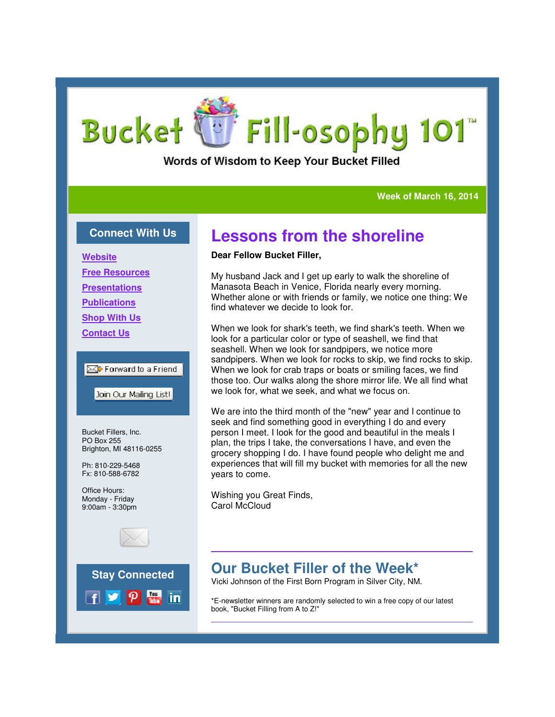# Fill-osophy 101™ **Bucket**

### Words of Wisdom to Keep Your Bucket Filled

#### **Week of March 16, 2014**

#### **Connect With Us**

**Website Free Resources Presentations Publications Shop With Us Contact Us**

#### Forward to a Friend

Join Our Mailing List!

Bucket Fillers, Inc. PO Box 255 Brighton, MI 48116-0255

Ph: 810-229-5468 Fx: 810-588-6782

Office Hours: Monday - Friday 9:00am - 3:30pm





## **Lessons from the shoreline**

#### **Dear Fellow Bucket Filler,**

My husband Jack and I get up early to walk the shoreline of Manasota Beach in Venice, Florida nearly every morning. Whether alone or with friends or family, we notice one thing: We find whatever we decide to look for

When we look for shark's teeth, we find shark's teeth. When we look for a particular color or type of seashell, we find that seashell. When we look for sandpipers, we notice more sandpipers. When we look for rocks to skip, we find rocks to skip. When we look for crab traps or boats or smiling faces, we find those too. Our walks along the shore mirror life. We all find what we look for, what we seek, and what we focus on. My husband Jack and I get up early to walk the shoreline of<br>Manasota Beach in Venice, Florida nearly every morning.<br>Whether alone or with friends or family, we notice one thing: We<br>find whatever we decide to look for.<br>When

We are into the third month of the "new" year and I continue to seek and find something good in everything I do and every person I meet. I look for the good and beautiful in the meals I plan, the trips I take, the conversations I have, and even the grocery shopping I do. I have found people who delight me and experiences that will fill my bucket with memories for all the new years to come. too. Our walks along the shore mirror life. We all find what<br>we for, what we seek, and what we focus on.<br>e into the third month of the "new" year and I continue to<br>and find something good in everything I do and every<br>1 mee

Wishing you Great Finds, Carol McCloud

## **Our Bucket Filler of the Week\***

Vicki Johnson of the First Born Program in Silver City, NM.

\*E-newsletter winners are randomly selected to win a free copy of our latest book, "Bucket Filling from A to Z!"